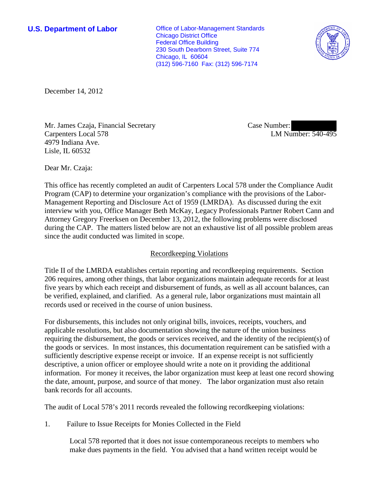**U.S. Department of Labor Conservative Conservative Conservative Conservative Conservative Conservative Conservative Conservative Conservative Conservative Conservative Conservative Conservative Conservative Conservative** Chicago District Office Federal Office Building 230 South Dearborn Street, Suite 774 Chicago, IL 60604 (312) 596-7160 Fax: (312) 596-7174



December 14, 2012

Mr. James Czaja, Financial Secretary Carpenters Local 578 4979 Indiana Ave. Lisle, IL 60532

Case Number: LM Number: 540-495

Dear Mr. Czaja:

This office has recently completed an audit of Carpenters Local 578 under the Compliance Audit Program (CAP) to determine your organization's compliance with the provisions of the Labor-Management Reporting and Disclosure Act of 1959 (LMRDA). As discussed during the exit interview with you, Office Manager Beth McKay, Legacy Professionals Partner Robert Cann and Attorney Gregory Freerksen on December 13, 2012, the following problems were disclosed during the CAP. The matters listed below are not an exhaustive list of all possible problem areas since the audit conducted was limited in scope.

## Recordkeeping Violations

Title II of the LMRDA establishes certain reporting and recordkeeping requirements. Section 206 requires, among other things, that labor organizations maintain adequate records for at least five years by which each receipt and disbursement of funds, as well as all account balances, can be verified, explained, and clarified. As a general rule, labor organizations must maintain all records used or received in the course of union business.

For disbursements, this includes not only original bills, invoices, receipts, vouchers, and applicable resolutions, but also documentation showing the nature of the union business requiring the disbursement, the goods or services received, and the identity of the recipient(s) of the goods or services. In most instances, this documentation requirement can be satisfied with a sufficiently descriptive expense receipt or invoice. If an expense receipt is not sufficiently descriptive, a union officer or employee should write a note on it providing the additional information. For money it receives, the labor organization must keep at least one record showing the date, amount, purpose, and source of that money. The labor organization must also retain bank records for all accounts.

The audit of Local 578's 2011 records revealed the following recordkeeping violations:

1. Failure to Issue Receipts for Monies Collected in the Field

Local 578 reported that it does not issue contemporaneous receipts to members who make dues payments in the field. You advised that a hand written receipt would be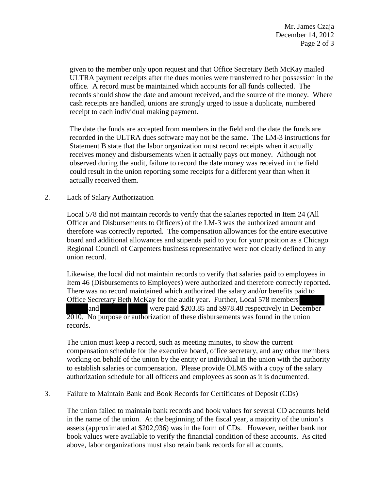given to the member only upon request and that Office Secretary Beth McKay mailed ULTRA payment receipts after the dues monies were transferred to her possession in the office. A record must be maintained which accounts for all funds collected. The records should show the date and amount received, and the source of the money. Where cash receipts are handled, unions are strongly urged to issue a duplicate, numbered receipt to each individual making payment.

The date the funds are accepted from members in the field and the date the funds are recorded in the ULTRA dues software may not be the same. The LM-3 instructions for Statement B state that the labor organization must record receipts when it actually receives money and disbursements when it actually pays out money. Although not observed during the audit, failure to record the date money was received in the field could result in the union reporting some receipts for a different year than when it actually received them.

## 2. Lack of Salary Authorization

Local 578 did not maintain records to verify that the salaries reported in Item 24 (All Officer and Disbursements to Officers) of the LM-3 was the authorized amount and therefore was correctly reported. The compensation allowances for the entire executive board and additional allowances and stipends paid to you for your position as a Chicago Regional Council of Carpenters business representative were not clearly defined in any union record.

Likewise, the local did not maintain records to verify that salaries paid to employees in Item 46 (Disbursements to Employees) were authorized and therefore correctly reported. There was no record maintained which authorized the salary and/or benefits paid to Office Secretary Beth McKay for the audit year. Further, Local 578 members and were paid \$203.85 and \$978.48 respectively in December 2010. No purpose or authorization of these disbursements was found in the union records.

The union must keep a record, such as meeting minutes, to show the current compensation schedule for the executive board, office secretary, and any other members working on behalf of the union by the entity or individual in the union with the authority to establish salaries or compensation. Please provide OLMS with a copy of the salary authorization schedule for all officers and employees as soon as it is documented.

## 3. Failure to Maintain Bank and Book Records for Certificates of Deposit (CDs)

The union failed to maintain bank records and book values for several CD accounts held in the name of the union. At the beginning of the fiscal year, a majority of the union's assets (approximated at \$202,936) was in the form of CDs. However, neither bank nor book values were available to verify the financial condition of these accounts. As cited above, labor organizations must also retain bank records for all accounts.